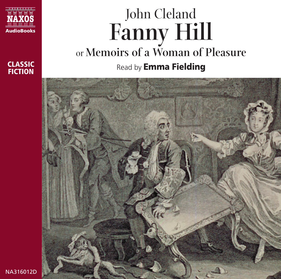

### **CLASSIC FICTION**

# John Cleland **Fanny Hill** or **Memoirs of a Woman of Pleasure** Read by **Emma Fielding**

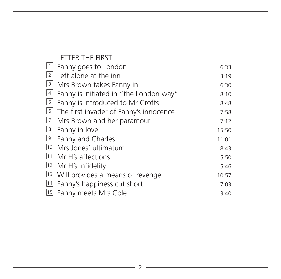|   | <b>LETTER THE FIRST</b>                   |       |
|---|-------------------------------------------|-------|
|   | $\Box$ Fanny goes to London               | 6:33  |
|   | $\lfloor 2 \rfloor$ Left alone at the inn | 3:19  |
| 3 | Mrs Brown takes Fanny in                  | 6:30  |
| 4 | Fanny is initiated in "the London way"    | 8:10  |
|   | El Fanny is introduced to Mr Crofts       | 8:48  |
|   | I The first invader of Fanny's innocence  | 7:58  |
| 7 | Mrs Brown and her paramour                | 7:12  |
|   | $8$ Fanny in love                         | 15:50 |
|   | 9 Fanny and Charles                       | 11:01 |
|   | 10 Mrs Jones' ultimatum                   | 8:43  |
|   | <sup>11</sup> Mr H's affections           | 5:50  |
|   | 12 Mr H's infidelity                      | 5:46  |
|   | [13] Will provides a means of revenge     | 10:57 |
|   | 14 Fanny's happiness cut short            | 7:03  |
|   | 15 Fanny meets Mrs Cole                   | 3:40  |

<u> 1980 - Johann Barn, amerikan bestemannten (</u>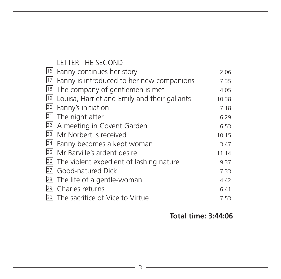#### LETTER THE SECOND

| 16 Fanny continues her story                           | 2:06  |
|--------------------------------------------------------|-------|
| $\boxed{17}$ Fanny is introduced to her new companions | 7:35  |
| <sup>18</sup> The company of gentlemen is met          | 4:05  |
| 19 Louisa, Harriet and Emily and their gallants        | 10:38 |
| 20 Fanny's initiation                                  | 7:18  |
| 21 The night after                                     | 6:29  |
| 22 A meeting in Covent Garden                          | 6:53  |
| 23 Mr Norbert is received                              | 10:15 |
| 24 Fanny becomes a kept woman                          | 3:47  |
| 25 Mr Barville's ardent desire                         | 11:14 |
| 26 The violent expedient of lashing nature             | 9:37  |
| 27 Good-natured Dick                                   | 7:33  |
| 28 The life of a gentle-woman                          | 4:42  |
| 29 Charles returns                                     | 6:41  |
| <sup>30</sup> The sacrifice of Vice to Virtue          | 7:53  |

### **Total time: 3:44:06**

<u> 1989 - Johann Barbara, martin a</u>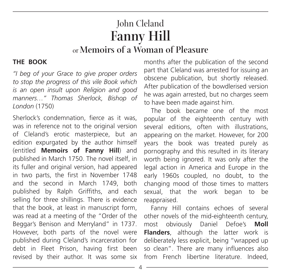# John Cleland **Fanny Hill** or **Memoirs of a Woman of Pleasure**

#### **THE BOOK**

*"I beg of your Grace to give proper orders to stop the progress of this vile Book which is an open insult upon Religion and good manners…" Thomas Sherlock, Bishop of London* (1750)

Sherlock's condemnation, fierce as it was, was in reference not to the original version of Cleland's erotic masterpiece, but an edition expurgated by the author himself (entitled **Memoirs of Fanny Hill**) and published in March 1750. The novel itself, in its fuller and original version, had appeared in two parts, the first in November 1748 and the second in March 1749, both published by Ralph Griffiths, and each selling for three shillings. There is evidence that the book, at least in manuscript form, was read at a meeting of the "Order of the Beggar's Benison and Merryland" in 1737. However, both parts of the novel were published during Cleland's incarceration for debt in Fleet Prison, having first been revised by their author. It was some six

months after the publication of the second part that Cleland was arrested for issuing an obscene publication, but shortly released. After publication of the bowdlerised version he was again arrested, but no charges seem to have been made against him.

The book became one of the most popular of the eighteenth century with several editions, often with illustrations appearing on the market. However, for 200 years the book was treated purely as pornography and this resulted in its literary worth being ignored. It was only after the legal action in America and Europe in the early 1960s coupled, no doubt, to the changing mood of those times to matters sexual, that the work began to be reappraised.

Fanny Hill contains echoes of several other novels of the mid-eighteenth century, most obviously Daniel Defoe's **Moll Flanders**, although the latter work is deliberately less explicit, being "wrapped up so clean". There are many influences also from French libertine literature. Indeed,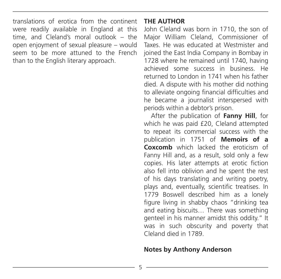translations of erotica from the continent were readily available in England at this time, and Cleland's moral outlook – the open enjoyment of sexual pleasure – would seem to be more attuned to the French than to the English literary approach.

#### **THE AUTHOR**

John Cleland was born in 1710, the son of Major William Cleland, Commissioner of Taxes. He was educated at Westmister and joined the East India Company in Bombay in 1728 where he remained until 1740, having achieved some success in business. He returned to London in 1741 when his father died. A dispute with his mother did nothing to alleviate ongoing financial difficulties and he became a journalist interspersed with periods within a debtor's prison.

After the publication of **Fanny Hill**, for which he was paid £20, Cleland attempted to repeat its commercial success with the publication in 1751 of **Memoirs of a Coxcomb** which lacked the eroticism of Fanny Hill and, as a result, sold only a few copies. His later attempts at erotic fiction also fell into oblivion and he spent the rest of his days translating and writing poetry, plays and, eventually, scientific treatises. In 1779 Boswell described him as a lonely figure living in shabby chaos "drinking tea and eating biscuits… There was something genteel in his manner amidst this oddity." It was in such obscurity and poverty that Cleland died in 1789.

#### **Notes by Anthony Anderson**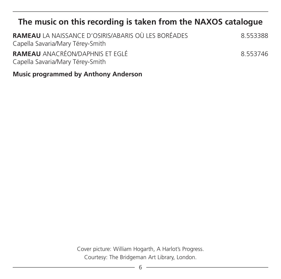## **The music on this recording is taken from the NAXOS catalogue**

| <b>RAMEAU</b> LA NAISSANCE D'OSIRIS/ABARIS OÙ LES BORÉADES<br>Capella Savaria/Mary Térey-Smith | 8553388  |
|------------------------------------------------------------------------------------------------|----------|
| <b>RAMEAU</b> ANACRÉON/DAPHNIS ET EGLÉ<br>Capella Savaria/Mary Térey-Smith                     | 8 553746 |

**Music programmed by Anthony Anderson**

Cover picture: William Hogarth, A Harlot's Progress. Courtesy: The Bridgeman Art Library, London.